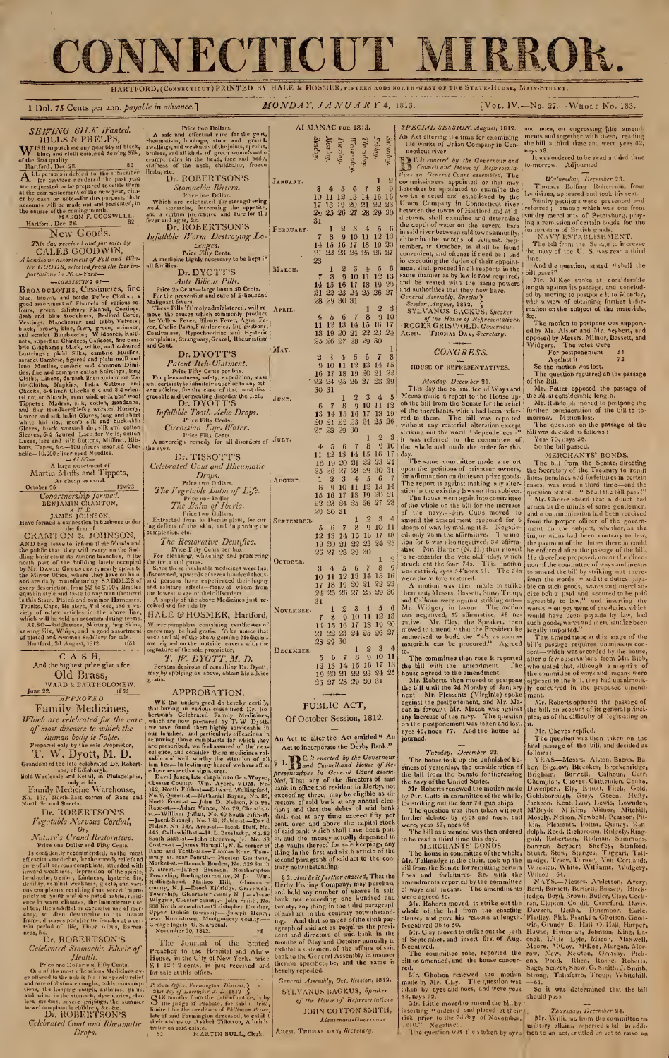# CONNECTICUT MIRROR.

HARTFORD, (Connecticut) PRINTED BY HALE & HOSMER, fifteen rods north-west of the State-House, Main-Sthurt 1 Dol. 75 Cents per ann. payable in advance.] MONDAY, JANUARY 4, 1813. [Vol. IV.-No. 27.--Whole No. 183. SEWING SILK Wanted.<br>HILLS & PHELPS, **W** ISH to purchase any quantity of black,<br>
of the first quality<br>
of the first quality<br>  $A$  Learning defined becomes interested by the state of<br>  $\overrightarrow{A}$  Learning defined to the embseries<br>
of the pressure of the particle New Goods. This day received and for sale, by<br>CALEB GOODWIN,<br>Ahandsome assortment of Vall and Win-<br>ter GOODS, selected from the late im-<br>portations in .New-York ns in New-Iork—<br>—consistinc of— BROAD CLOTHS, Cassimeres, inc<br>
blue, brown, and bottle Pelice Cloths: a<br>
good assortment of Flannels of various co-<br>
lower, and bottle Pelice Clothis:<br>
Jean-<br>
JeanAs and blue Stockhets, Bedford Cords,<br>
leak band blue St Martin Muffs and Tippets, As cheap as usual. October 16 12w73 Copartmership formed.<br>
BENJAMIN CRANTON,<br>  $\frac{1}{2}$ AMES JOINSON,<br>
JAMES JOINSON,<br>
Have formed a connection in tusiness under<br>
the firm of<br>
CRAMITON  $\xi$  JOHNSON,<br>
GND hog leave to inform their friends and<br>
the public that And the highest price given for Old Brass, WARD & BARTHOLOMEW.<br>June 22.  $\frac{1f55}{APPROVED}$ Family Medicines, Which are celebrated for the cure  $\vert$  , of most diseases to which the<br>human body is liable.<br>Prepared only by the sole Proprietor,<br>T. W. Dyott, M. D. Grandson of the late celebrated Dr. Robert-<br>
son, of Edinburgh,<br>
sold Wholesale and Retail, in Philadelphia,<br>
Tamily Medicine Warehouse,<br>
No. 337, North-East corner of Race and<br>
North Second Streets. Price two Dollars.<br>
A safe and effectual rure for the gout,<br>
relematism, lumbago, stone and gravel,<br>
swellings, and weakness of the joints, sprains,<br>
brnises, and all kinds of green wounds—the<br>
cramp, pains in the head, fa Dr. ROBERTSON'S Stomachic Bitters.<br>
Which are celebrated for strengthening<br>
weak stomachs, increasing the appetite,<br>
and a certain preventive and cure for the<br>
fever and ague, &c.<br>
Dr. ROBERTSON'S Infallible Worm Destroying Lo zenges.<br>
Price Fifty Cents.<br>
A medicine highly necessary to be kept in<br>
all families.<br>
Dr. DYOTT'S Anti Bilious Pills. Price <sup>25</sup> Cents—large boxes <sup>50</sup> Cents. For the prevention and cure of Bilious and<br>
Malignant fevers.<br>
These Pills if therefore which commonly produce<br>  $\frac{1}{2}$  move the causes which commonly produce<br>
the Yellow Fever, Bilous Fever, Agne Fe-<br>
ver, Cholic Pains, Dr. DYOT'T'S<br>
Patent Itch-Ointment.<br>
Patent Itch-Ointment.<br>
For pleasaniness, safety, expedition, easy<br>
and certainty is infinitely superior to any oth-<br>
greeable and tormenting disorder the tuch.<br>
greeable and tormenting Price Fifty Cents.<br>A sovereign remedy for all disorders of  $\left| \frac{\text{d}}{\text{d}} \right|$ Dr. TISSOTT'S<br>Celebrated Gout and Rheumatic Celebrated Gout and Rheumatic *Price two Dollars.*<br>
The Vegetable Balm of Life.<br>
Price one Dollars<br>
The Balm of Iberia.<br>
Price two Dollars.<br>
Price two Dollars.<br>
Extracted from an Iberian plant, for cur-<br>
ing defects of the skin, and improving the<br>
comp The Restorative Dentifice.<br>For cleaning, whiteing and preserving<br>For cleaning, whiteing and preserving<br>the tech and grams.<br>Since the se invaluable medicines were first<br>discovered, upwards of seven hundred thous-<br>and spira the lowest stage of their discrders<br>A supply of the above Medicines just re-<br>ceived and for sale by Geived and for sale by<br>HALE & HOSMER, Hartford, NOVEMBER. Where pamphlets containing certificates of<br>cures may be had gratis. Take nonce that<br>each and all of the above genuine Medicines<br>are signature of the sole proprietor, T. W. DYOTT, M. D.<br>Persons desirous of consulting Dr. Dyott,<br>may by upplying as above, obtain his advice<br>gratis. APPROBATION. WE the undersigned do hereby certify,<br>that having in various cases used Dr. Ro.<br>bertson's Celebrated Family Medicines,<br>bertson's Celebrated Family Medicines,<br>which are now prepared by T. W Dyott, we have found them initia ALMANAC FOR 1813. Saturday.<br>Friday.<br>Ilursday.<br>Irlanskay.<br>Monlay.<br>Sunday.  $J_{\text{AMUART}}$ ,  $3 \quad 4 \quad 5 \quad 6 \quad 7 \quad 8 \quad 9 \text{ h}$ <br>  $10 \quad 11 \quad 12 \quad 13 \quad 14 \quad 15 \quad 16 \text{ e}$ <br>  $17 \quad 18 \quad 19 \quad 20 \quad 21 \quad 22 \quad 23 \text{ l}$ <br>  $24 \quad 25 \quad 26 \quad 27 \quad 28 \quad 29 \quad 30 \text{ h}$ <br>  $31$ FEBRUARY. 1 2 3 4 5 6  $\begin{bmatrix} 7 & 8 & 9 & 10 & 11 & 12 & 13 \\ 14 & 15 & 16 & 17 & 18 & 19 & 20 \\ 21 & 22 & 23 & 24 & 25 & 26 & 27 \end{bmatrix}$  $\begin{array}{r} \text{MaxCH.} \quad \begin{array}{c} \text{28} \\ \text{7} \quad 8 \quad 9 \quad 10 \quad 11 \quad 12 \quad 13 \times 14 \quad 15 \quad 16 \quad 17 \quad 18 \quad 19 \quad 20 \times 24 \quad 25 \quad 26 \quad 27 \times 24 \quad 25 \quad 26 \quad 27 \times 28 \quad 29 \quad 30 \quad 31 \end{array} \end{array}$  $\begin{array}{c|cccc} \text{A} & 1 & 2 & 3 \ \text{A} & 1 & 12 & 13 & 14 & 15 & 16 & 17 \ \text{I} & 18 & 19 & 20 & 21 & 22 & 23 & 24 \ \text{I} & 23 & 26 & 27 & 28 & 29 & 30 \end{array}$  $\begin{array}{r} \text{Max.} \ \text{2} \ \text{3} \ \text{4} \ \text{5} \ \text{6} \ \text{7} \ \text{8} \ \text{9} \ \text{10} \ \text{11} \ \text{12} \ \text{13} \ \text{14} \ \text{15} \ \text{16} \ \text{17} \ \text{18} \ \text{19} \ \text{20} \ \text{21} \ \text{22} \ \text{23} \ \text{24} \ \text{25} \ \text{26} \ \text{27} \ \text{28} \ \text{29} \ \text{21} \ \text{22} \ \end{array$  $\begin{array}{llll} & 30\ 31 & 12\ 3 & 4 & 5\ 6 & 7 & 8 & 9 & 10 & 11 & 12\ 13 & 14 & 15 & 16 & 17 & 18 & 19\ 20 & 21 & 22 & 23 & 24 & 25 & 26\end{array}$  $J_{\mathtt{ULY}},$  27 28 29 30  $1\quad 2\quad 3$ 4 5 6 7 8 9 10<br>11 12 13 14 15 16 17<br>18 19 20 21 22 23 24<br>25 26 27 28 29 30 31 August.  $\begin{array}{r} 23 \overline{)} 23 \overline{)} 4 \overline{)} 5 \overline{)} 6 \overline{)} 7 \overline{)} 89 \overline{)} 10 \overline{)} 11 \overline{)} 13 \overline{)} 14 \overline{)} 15 \overline{)} 16 \overline{)} 17 \overline{)} 18 \overline{)} 9 \overline{)} 21 \overline{)} \end{array}$  $\begin{bmatrix} 8 & 9 & 10 & 11 & 12 & 13 & 14 \ 15 & 16 & 17 & 18 & 19 & 20 & 21 \ 22 & 23 & 24 & 25 & 26 & 27 & 28 \ 29 & 30 & 31 & 0 & 0 \end{bmatrix}$ SEPTEMBER 5 6 7 8 9 10 11 3<br>
12 13 14 15 16 17 18 c<br>
19 20 21 22 23 24 25 1 20 27 28 29 30 OCTOBER. 3 4 5 6 7 8 9<br>10 11 12 13 14 15 16<br>17 18 19 20 21 22 23<br>24 25 26 27 23 29 30 NOVEMBER  $\begin{array}{r} 31 \ 7 \ 8 \ 12 \ 3 \ 4 \ 5 \ 6 \ 1 \end{array}$ <br>  $\begin{array}{r} 31 \ 7 \ 8 \ 9 \ 10 \ 11 \ 12 \ 13 \end{array}$ <br>  $\begin{array}{r} 14 \ 15 \ 16 \ 17 \ 18 \ 19 \ 20 \ 8 \ 21 \ 22 \ 23 \ 24 \ 25 \ 26 \ 27 \end{array}$  $28 29 30$ <br>  $5 6 7 8 9 10 11$ <br>  $12 13 14 15 16 17 13$ <br>  $19 20 21 22 23 24 25$ <br>  $26 27 28 29 30 31$ PUBLIC ACT, Of October Session, 1812. An Act to alter the Act entitled " An Act to incorporate the Derby Bank." Act to incorporate the Derby Bank."  $\S$  1. The *in energy of the Governour*<br>  $\S$  1. The *ind Courdianal House of Re-<br>
<i>presentatives in General Court assem-*<br> *bied*, That any of the directors of said thank in office and residue in Derby, not<br>
perceeding SPECIAL SESSION, August, 1812. SPECIAL SESSION, August, 1812. | and noes, on engrossing filic amend,<br>An Act altering the time for examining | ments and together with them, reading<br>the works of Union Company in Con-| the bill a third time and were yeas the works of Union Company in Con-<br>
The unitarity of the Bovernour and<br>
Equitative the distance of Refiresentative<br>
Equitative in the star of the Governour and<br>
Here is the contribution of the contribution<br>
commissioners of the House of Representatives. ROGER GRISWOLD, Governour, Attest. THOMAS DAY, Secretary. CONGRESS. HOUSE OF REPRESENTATIVES. Monday, December 21.<br>This day the countities of Ways and<br>Means manle a report to the House up-<br>on the bill from the Senate for the relief<br>of the merchants, which had been refer-<br>ed to them. The bill was reported<br>without an it was referred to the committee of the whole and made the order for this day.<br>
The same committee made a report hay<br>
upon the petitions of privater owners, the<br>
for atilmnution on dutes<br>on prize goods. If the represent t the bill with the annendment. The whose agreed to the amendment<br>bouse agreed to postpone by the animal of postpone of<br>the bill until the 2d Monday of January by<br>next. Mr. Plessants (Virginia) spoke against the postponent, The house towe by the unihinited business of pearler and the business of pearlers of the consideration of the bill from the Senate for increasing E Mr. Roberts renewed the motion male is the The question was then able to nays 58. It was ordered to be read a third time to-morrow. Adjourned. Wednesday, December 25.<br>Thomas Bolling Rohertson, from<br>Louisiana, appeared and took his seat.<br>Similry pettitions were presented and<br>referred ; among which was one from<br>sundry merclants of Pretershurg, pray-<br>ing a remission And the question, stated " shall the<br>
bill pass?"<br>
Are. M'Kee spoke at considerable<br>
length against its passage, and conclud-<br>
ed by moving to postpone it to Monday,<br>
with a view of obtaining further inforex c. The motion to postpone was support-<br>edge Mr. Alston and Mr. Seybert, and<br>opposed by Messrs. Milnor, Bassett, and<br>Widgery. The votes were<br>For postponement 51<br>Against it<br>So the motion was lost.<br>The question recurred on the p MERCHANTS' BONDS.<br>The bill from the Senate, directing<br>the Secretary of the Treasury to remit<br>fines, penalties and forefittings in certain<br>gaussion stated. "Shall the bill pass?"<br>Nur. Chrews steed a third importantly had an it. Mr. Cheves replied.

Dr. ROBERTSON'S<br>
Fegetable Nervous Cordial,<br>
Fegetable Nervous Cordial,<br>
Nature's Grand Restorative.<br>
Poise one Dollar and Fifty Cents.<br>
The confidently recommended, as the results.<br>
Is confidently recommended, as the res

Dr. ROBERTSON'S

Celebrated Stomachic Elixer of<br>
Health.<br>
The constant of the most efficiency and they cent<br>
one of the most efficiencies sections and the property relation<br>
and the colonitation consider the specify relation<br>
and the inco

Celebrated Gout and Rheumatic Drops.

many st. near Fourth.—Preston Goodwin, Market-st— Hunnah Burden, No. <sup>529</sup> South F. street.—James Branson, Northampton Township, Burlington count v, N J. Wm. Hollingshead, Mullico Hill, Gloucester county, N.J.—Enock Eldridge, Grt.-nwch- Township, Gloucester county <sup>N</sup> J. Isaac Wiggins, ChesUr county.—John Smith, No. <sup>368</sup> North seconds!.—Christopher Dreaher, oos North second-st.—Uhristopher Hrecher, I.<br>Upper Dublin township.—Joseph Henry, O<br>Ways Mauriciano Manten-Joseph Henry, near Norristown, Montgomery county. George Ingels, U. S. arsenal. November 50, 1812. 78 The Journal of the Stated §2. And be it further enacted, That the Derby Fishing Company, may purchase  $\frac{a}{b}$ <br>and hold any number of shares in said combined bank not exceeding one hundred and  $\frac{b}{c}$  twenty, any thing in the tlird paragraph<br>of said act to the contrary notwithstand

Probate Office, Formington District, 2<br>  $\left\{2\text{tr }day\text{ if }Decenbs\text{ }A,D1812\right\}$ <br>  $2\text{tr }day\text{ if }Decenbs\text{ }A,D1812\}$ <br>  $\bigcup$  the Judge of Probate, for solid district,<br>
limited for the creditors of Philonon Patter,<br>
limited for simpl

General Assembly, Oct. Session, 1812. SYLVANUS BAGKUS, Speaker of the House of Representatives. JOHN COTTON SMITH,

JJeutenant-Governour,

Attest. Thomas DAY, Secretary.

made by Mr. Clay. The question was taken by ayes and noes, and were yeas 58, nays 62.

Mr. Little moved to amend the bill by<br>risk prior to the 2d day of November,<br>18io." Negatived.<br>18io." Negatived.<br>The question was then token by ayes to

mation on the subject of the materials,

the bill, on account of its general princi-ples, as of the difficulty of legislating on

The question was then taken on the<br>
final passage of the bill, and decided as<br>
follows:<br>
YEAS—Messrs. Alston, Bacon, Ba-<br>
ker, Bigelow, Bleecker, Breckerindge,<br>
Brigham, Burvell, Calhoun, Care,<br>
Davenport, Ely, Emott, Fitc

Thursday, December 24.<br>Mr. Williams from the committee on<br>militory affairs, reported a bill in addi-<br>tion to .un act, entitled on act to raise &n

st.—William Julian, No. 69 South Fifth-st. 5<br>—Jacob Shough, No. 181, Noble-st.—David<br>Fisher, No. 187, Arcb-st.—Jacob Huff, No.<br>445, Callowhill-st.—II. L.Broslasky, No. 82 O<br>South sixth-st.—John Shreeves, jr. No. 53 <sup>11</sup> Coates-st —James Hammill, N. E. corner of t<br>Race and Tenth-sts —Thomas Rose, Tam-

Preacher to the Hospital and Alms-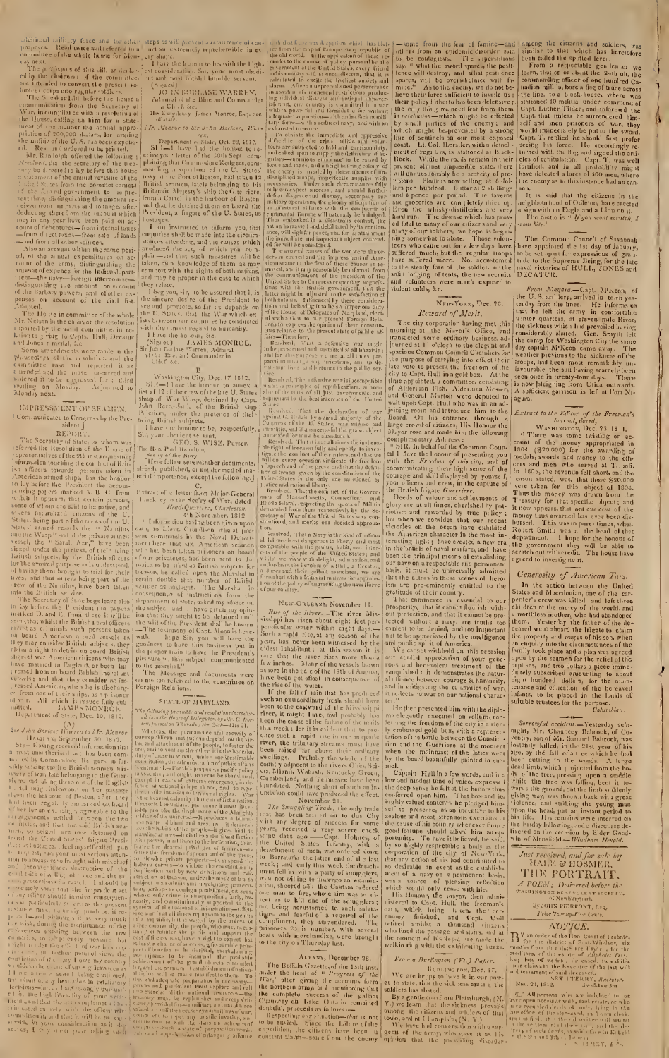additional military force and to cluster<br>purposes. Reall twice and for cluster purposes. Reall twice and referred to a<br>committee of the whole hunse for Mension and the Committee, and the Committee of this till, as signifi

IMPRESSMENT OF SEAMEN Communicated to Congress by the Pre-<br>sident ]

EMPRESSMENT Or SEANCHER<br>
[Communicated of Galers by the Pre-<br>
sident of Communicated of the Hamp of<br>
REPORT.<br>
The Secretary of State, to whom was<br>
referred the Response of the Hamp of the Hamp of<br>
infrarmation to the 24 m

all with All which is respectfully sub-<br>with All With MeMONIMOLE.<br>The All Mick MONNIOLE,<br> $\Delta N$ His MeMONIMOLE of State, Deel Optime<br>of of State pect (A). Monroe, His and Boring Compare for the History of the analytic subse

additional military force and for other steps as a ill-phetonical and<br>improves. Read twice and referred to a duet so extremely representialle in evaluation<br>committee of the whole house for Mon-, ery shape.<br>The pressure to

Mr. Monroe to Sir John Borlass, War-

*Mr. Abartos to Sir J-hn Berlase, Hier-*<br>
Peparlment of State, Oct. 23, 1612.<br>
SIR—1 have had the homogroup to receive your letter of the 50th Sept. computed<br>
polining that Gummodone idealgers geom-<br>
polining that Gummodo

and that he detained when<br>
Predicting a linguite of the U. States, as<br>
Predicting a linguite shell be made into the circuit<br>
compiring shell be made into the circuit<br>
statices stending, and the causes which<br>
produced the

<sup>14</sup> the Bisse, and Commander in<br>
Citef, i.e.<br>  $\frac{B}{12}$  Citef, i.e.<br>  $\frac{B}{12}$  Washington City, Dec. 17–1812.<br>
SIR—I have the heart be converted by Capt.<br>
John Beressford, of the British slip<br>
John Beressford, of the B

altreatly published, or not decired of material intentive published, or not decired of material intentive space. The Contract of a letter from Major-General Hundary  $P_{t1}$ ,  $C_{t2}$  ( $Q_{t2}$ ,  $Q_{t3}$ ,  $Q_{t3}$ ,  $Q_{t4}$ ,  $Q_{$ 

## STATE OF MARYLAND.

STATE OF MARYLAND.<br>
The following premable and resolution threating the state of the Hace of Delegates, by Mr. C. Horner of the state of Theorem is the property of the property of the property of the property of the outpu is at all times veptogram to the genus<br>will is, but it is a stational valid  $\epsilon_{\rm c}$ , the proply will remain<br>factor and the performation of the respect of the performation of<br>the condition of the performation of the cond

sians despidiem uchich has hidden<br>tap at Europe every republic of<br>the application of these re-<br>nume of policy pursuarily the<br>the United States, every friend<br>table united States, every friend<br>valid to once discorn, that it ts un that h<br>Ted from th<br>the old wor<br>marks to th givernmei<br>a lís <mark>c</mark>our<br>a leidateil m.<br>Systema<br><sup>Alivi</sup>du ou-with an include the work of the angle of the state of the state of the state of the state of the state of the state of the state of the state of the state of the state of the state of the state of the state of the state

ex.<br>
The consistent and proposition<br>
the consistent and column<br>
in the state of the construction<br>
o supply the deficiency of re-<br>
o supply the deficiency of re-Feltice of the CHE and particular and the state as a set of the case is a set of the defection of the defection of the state and a set of the range of the range of the state of sine and states, and a neighbouring colony of

ic impaction and important inliged contend.<br>The maximized contendation of the wave sets in converting the absoluted<br>The avevevel causes of the wave were the one-<br>can seamen a the finity impacts cause of the impact of the

ice.<br>Hesolved, Theradfunsive wereinincompatible<br>infiation prairiples of republicanism, subvertive of the cause of all just guvernments, and<br>epinguant to the best interests of the United

To the best interests of the United Burgest and the best interests of the United and Burgest of the United Burgest of the United Supplemental properties and the United Supplementation and the applementation of the standard

noncar, ann ineris ont iteeided approbation.<br>
The colored, That a Nary is the kind of nation-<br>
delivere lead samperous to liberty, any most<br>
delivere in the people of the Uffited States; and<br>
state of the people of the Uff

New-Onteans, November 19.

For country. The priori of the same above the same of the state of the state and the periodical rate and the state and the state and the state in the state of the state in the state of the state of the state in the state

ALBANY, December 28. ALBANN, December 28.<br>
The Boffaln Gazette, of the 15th inst.<br>
The Boffaln Gazette, of the 15th inst.<br>
Hari<sup>n</sup> alter giving the accounts form<br>
the northern army, and mentioding that<br>
the complete success of the gallant<br>
Ch

Some from the fear of famine—and<br>
athers from an epidemic disorder, said<br>
to be contagious. The superstitutions<br>
say, if what the sword spares, the pest-<br>
lence will destroy, and what pestilence<br>
spares, will be overwhelm

## NEW-YORK, Dec. 28. Reward of Merit.

**Example 12**<br>
18 The river of the stype of the state of the state of the contributed at the National Canadic (massaced some ordinary business, ad-<br>
16 canasided some ordinary business, and  $\epsilon_1$ <br>
19 cancel at 11 o'clock

and in mitigating the calamites of war,<br>it reflects homour on our national charac-<br>it is reflects homour on our national charac-<br>measured bin with the diplo-<br>mass degradly executed on vellum, com-<br>is employ executed on of

## From a Burkngton (Vt.) Paper.

From a Burkington (Vt.) Paper.<br>We are living row, Dec. 17.<br>We are hrppy to base it in our pow-<br>et to state, that the sickness smalle soldiers has shaded.<br>By a gentleman from Plattsburgh<sub>1</sub> (X,<br>Y.) we learn that the sickne

similar to that which has herefolders, was<br>similar to that which has herefolore<br>been called the spottal gentleman we<br>From a respectible gentleman we<br>commanding officer of one hunited Ca-<br>nadion millins, bore a flag of tru

the view of that the citizens in the neighbourhood of Odleton, have crected<br>a sign with an Eagle and a Lion on it.<br>The neuto is  $\triangleleft$  If you would vervicely I<br>wont bite.

The Common Council of Savannah<br>have appointed the 1st day of January,<br>to be set apart for expressions of granitude to the Supreme Being, for the late<br>naval victories of HULL, JONES and<br>DECATUR.

DECATUR.<br>
From Magara.—Capt. M'Keon, of<br>
the U.S. attillery, arrived in town yest<br>
the U.S. attillery, are informed to<br>
the relations the left the army in confortable<br>
under quarters, at eleven mile River,<br>
the sickness wh

agura.<br>
Extract to the Editor of the Freeman's<br>
fournal, dated,<br>
WASHINGTON, Dec. 23, 1811.<br>
There was some twisting on ac-<br>
ount of the money appropriated in<br>
1804, (S20,000) for the awarding of<br>
medals, swords, and mone

## Generosity of American Tars.

*Generosity of American Tars.*<br>In the action between the United States and Macedonian, one of the carrent's crew was killed, and left three children at the netry of the world, and left three a worthless mother who had aba

Columbian,<br>Columbian,<br>Columbian,<br>Columbian,<br> $Sorrowful\,\,acident.$  Vesterday se'n-<br>night, Mr. Chauneey Babcock, of Co-<br>ventry, son of Mr. Samuel Babcock, was<br>need imply killed, in the 21st year of his<br>need imply killed, in the wood

## Just received, and for sale by<br>HALE & HOSMER, THE PORTRAIT.

## A POEM : Delivered before the<br>washington beyeved before the<br>of Newharpoint.

of Newbory<br>[1650] By JOHN PIER CONT<sub>4</sub> Esq.<br>*Price Twenty-Five Cexts*.

## NOTICE.

 $\label{eq:20} NOT/CE.$  <br>  $\begin{array}{l} NOT/CE, \ \end{array}$  for the district of Embate, six months from this date are limited, for the list<br>recellings, at the existence of Effective Creen . For the conditional<br>list in the case of Effective Cr

Now, 24, 1312. Sweet in distribution of the function of the second of the second term of the second that the second of the second of the second of the second of the second of the second of the second of the second of the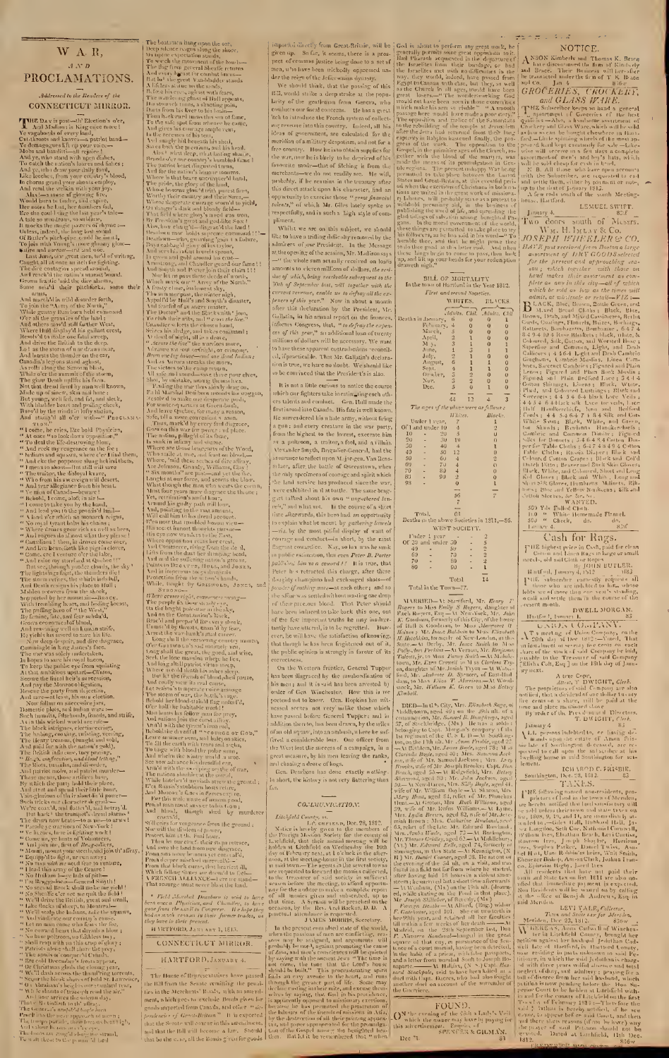## W AR,  $A \triangle^{*} D$ PROCLAMATIONS.

## Addressed to the Readers of the CONNECTICUT MIRROR.

**CONNECTICUT** MIRROR.<br>
THE DAY is past—the Election's ober<br>
And Madisont is King order novel<br>
Ye vagaloonlas of every land,<br>
Cor-linear same large in the production of the demagogues lift up your voice—<br>
Nobs and banditti

Some star<sup>24</sup> that the first interest interest in the first interest in the star and small method in the star and small method in the star and small method in the star and small method in the star and small method in the

The batter is harp upon the cost, where the state is not the state of the state in the state is not the state of the state in the state is not the state in the state in the state is not the state in the state is not the s

Pield Mayshal Dearborn is said to have<br>been once a Physician, and Chandley, to kave<br>gone from the airlit to Congress. He hope they<br>had as mach vectors in their former trades, or<br>they have in their byearnt. id as myon ve in present.<br>Ey lave in thriv present.<br>HAUTFORD, JANA ARY 1, 1813.

CONNECTIGUT MIRROR.

HARTFORD, JANUARY 4.

**HARTFORD, JANUARY** 4.<br>The Hause of Representatives have passed the Bill from the Scante centifiag the penal-<br>ties in the Merchants' Boady, with an animalment, which<br>goes to exclude Boady, with an animalment with proposed

o be commeed that the President's is also.

It is not a little curious to notice the course<br>which our fighters take in estimating each other<br>crs talents and combuct. Gen, Hull made the<br>first inroad into Canada. His fate is well known. ratio or fighters take in estimaling each others taken in the that the fitter<br>and conduct. Geen, Hull made the states with a more particular of the<br>state is surrelated in sumber army, without firing a guar s and every rec

## CONDUINTEATION:

 $\label{eq:21} CoLUMVTCATIOA15\\ \begin{tabular}{l|c|c|c} \multicolumn{1}{l}{\textbf{C0.15}}&\multicolumn{1}{l}{\textbf{C0.15}}&\multicolumn{1}{l}{\textbf{C1.15}}&\multicolumn{1}{l}{\textbf{L1.15}}&\multicolumn{1}{l}{\textbf{L2.15}}&\multicolumn{1}{l}{\textbf{L1.15}}&\multicolumn{1}{l}{\textbf{L2.15}}&\multicolumn{1}{l}{\textbf{L3.15}}&\multicolumn{1}{l}{\textbf{L4.15}}&\multicolumn{1}{$ 

importia directly from Great-British, will be [634 in sham to perform any great was k, be]<br>given of some and perform any great was k, be]<br>given of some and perform any great was k, be]<br>perform any since being control as t





 $\begin{tabular}{l|c|c|c} \multicolumn{1}{l}{\textbf{Total}} & \multicolumn{1}{l}{\textbf{Total}} & \multicolumn{1}{l}{\textbf{Total}} \\ \multicolumn{1}{l}{\textbf{Total} in the Town=77.} \\ \multicolumn{1}{l}{\textbf{N} OR gerz to Miss} & \multicolumn{1}{l}{\textbf{Stamfunl}} & \textbf{Mr.} & \textbf{Rengr} & \textbf{R} \\ \multicolumn{1}{l}{\textbf{Regerz to Miss} } & \textbf{Emily} & \textbf{S} & \textbf{Regerz} & \textbf{Angle} \\ \multicolumn{1}{l}{\textbf{R}$ 

propagation of the Material Randolf (and Material Randolf (and Material Randolf (Bundle)<br>
alam, to Mass Eliza T. Morrion, A. Word, Word (Bundle)<br>
(Bifford, W. Hilliam K. Geten to Mass Ecliep (Allohorn, areal 49) and N. K.

## FOUND,<br>FOUND,<br>C<sup>N the</sup> evening of the 28th a Lady's Veil<br>this advertisement, Engelic of<br>this advertisement, Engelic of<br>SPENTER & GLMAN, 12ec \*1.

## $\overline{\mathcal{O}}^{n,\alpha}(\overline{\mathcal{O}}_{\mathcal{O}}),\mathcal{O}(\mathcal{A}_{\mathcal{O}})$

 $\begin{tabular}{ll} $\mathbb{Z}^{\infty} \Rightarrow \mathbb{Z}^{\infty} \Rightarrow \mathbb{Z}^{\infty} \Rightarrow \mathbb{Z}^{\infty}$ &\text{NOTIC E}, \\ & \text{NOSON Kimberb} and Thomas K, Base \\ & \text{hat eigenvured the firm of Kinab,ely} \\ & \text{and Base. Their Business will factor of the transarest value of the transated under the firm of "K. Base and CO. Jan 4 &\text{G.} L.A.S. I'C. I.K. Base \\ & \text{GROCERLES, CFOC(KEE7) } \\ & \text{GROCERLES, CFOC(KEE7) } \\ & \text{Q. 24: 23: 23: 23: 2$ 

LEMUEL SWIFT.

Exite E. S. With H. S. With A. (1981) 1981 (1981)<br>1981) 1981 (1981) 1981) 1981 (1981) 1981 (1981) 1981 (1981) 1981 (1981) 1991 (1981) 1991 (1981) 1991 (1981) 1991 (1981) 1991 (1981) 1991 (1981) 1991 (1981) 1991 (1981) 199

laga siel e l'Somtington de caso, are re-<br>le parsiel de call apon de sal scriber at lais re-linent.<br>
le parsiel de call apon de sal scriber at lais re-linent.<br>
Le l'ABOD C. FRI4SBIE.<br>
Somthington, pece-28, 1812.<br>
PEE foll